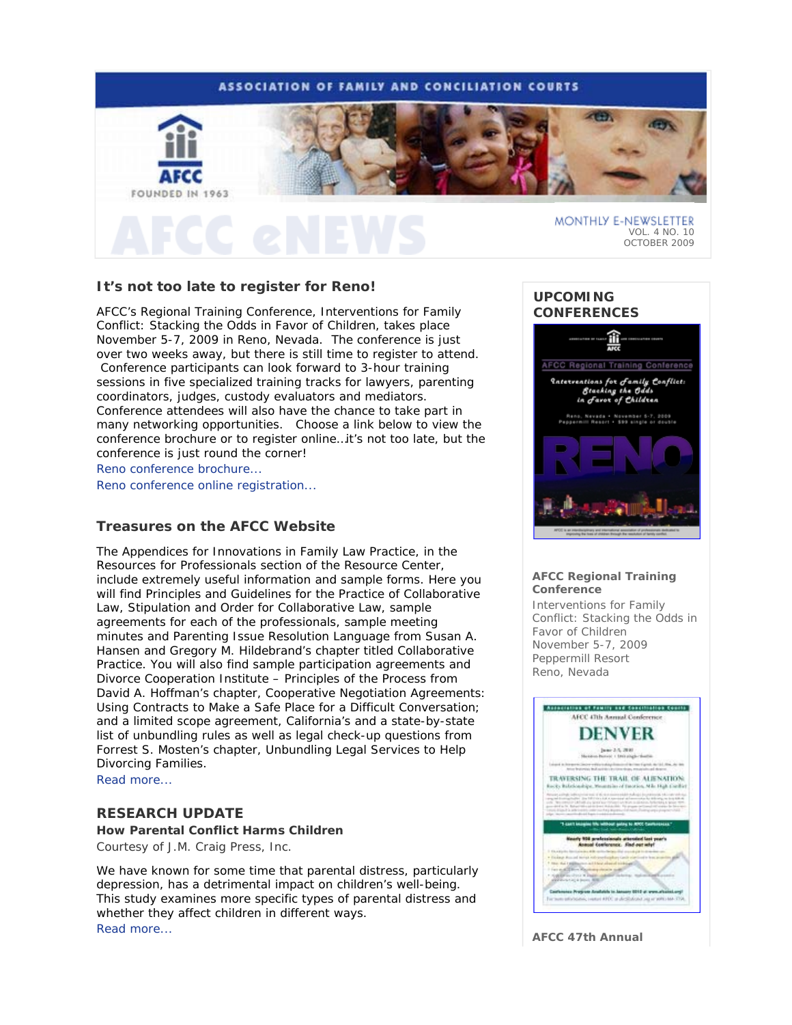# **ASSOCIATION OF FAMILY AND CONCILIATION COURTS**



# **It's not too late to register for Reno!**

AFCC's Regional Training Conference, *Interventions for Family Conflict: Stacking the Odds in Favor of Children*, takes place November 5-7, 2009 in Reno, Nevada. The conference is just over two weeks away, but there is still time to register to attend. Conference participants can look forward to 3-hour training sessions in five specialized training tracks for lawyers, parenting coordinators, judges, custody evaluators and mediators. Conference attendees will also have the chance to take part in many networking opportunities. Choose a link below to view the conference brochure or to register online…it's not too late, but the conference *is* just round the corner!

Reno conference brochure... Reno conference online registration...

# **Treasures on the AFCC Website**

The Appendices for *Innovations in Family Law Practice,* in the Resources for Professionals section of the Resource Center, include extremely useful information and sample forms. Here you will find *Principles and Guidelines for the Practice of Collaborative Law, Stipulation and Order for Collaborative Law*, sample agreements for each of the professionals, sample meeting minutes and *Parenting Issue Resolution Language* from Susan A. Hansen and Gregory M. Hildebrand's chapter titled *Collaborative Practice*. You will also find sample participation agreements and *Divorce Cooperation Institute – Principles of the Process* from David A. Hoffman's chapter, *Cooperative Negotiation Agreements: Using Contracts to Make a Safe Place for a Difficult Conversation*; and a limited scope agreement, California's and a state-by-state list of unbundling rules as well as legal check-up questions from Forrest S. Mosten's chapter, *Unbundling Legal Services to Help Divorcing Families*.

Read more...

# **RESEARCH UPDATE**

**How Parental Conflict Harms Children** 

*Courtesy of J.M. Craig Press, Inc.* 

We have known for some time that parental distress, particularly depression, has a detrimental impact on children's well-being. This study examines more specific types of parental distress and whether they affect children in different ways. Read more...

## **UPCOMING CONFERENCES**



## **AFCC Regional Training Conference**

*Interventions for Family Conflict: Stacking the Odds in Favor of Children*  November 5-7, 2009 Peppermill Resort Reno, Nevada

|                | AFCC 47th Annual Conference                                                                                                                                                                                                                                                                                                                                                                                                                                                                                 |
|----------------|-------------------------------------------------------------------------------------------------------------------------------------------------------------------------------------------------------------------------------------------------------------------------------------------------------------------------------------------------------------------------------------------------------------------------------------------------------------------------------------------------------------|
|                | <b>DENVER</b>                                                                                                                                                                                                                                                                                                                                                                                                                                                                                               |
|                | - Jane 2-5, 2010<br>Markaton Bannetel 1 Emil single-rd<br>a distante alcingo di maccio e                                                                                                                                                                                                                                                                                                                                                                                                                    |
|                | a best retail but according to the shape, as<br>TRAFFRSING THE TRAIL OF ALIENATIO<br>Rocks Relationships, Mounteins of Enorion, Mile High Cordier                                                                                                                                                                                                                                                                                                                                                           |
|                | News and all release of the first concertable substitutes to be an editing<br>any tel Entrastructure. Six 100 Critics and a special at forms rates for Microsoft to both AB de-<br>and "We remain adduct any special particular product in detection between a special stress<br>por dell'a la degli piazzi della condita della controla della competazione della controla della con-<br>Total Alas P.S. admission color curriculum designations (hampionesis absence child)<br>months after the Experts in |
|                | "I can't imagine the without gates to APOC Conferences."                                                                                                                                                                                                                                                                                                                                                                                                                                                    |
|                | 100 professionals attended last year's<br>Esailarenza, Elad out who                                                                                                                                                                                                                                                                                                                                                                                                                                         |
| 11 Elizabeth I | · France Assued twings only everlapping tunity can                                                                                                                                                                                                                                                                                                                                                                                                                                                          |
|                | 1 year, that I political cars and it have a legislation and interesting<br>1 Fair and 20 Block Macrosoft<br>· Application of your Williams<br>ANTIFACTOR ROOM REEL                                                                                                                                                                                                                                                                                                                                          |
|                | Conference Progress Analytich in January 8010 at www.afsetek.org<br>APLAM (Why as an about MPC at the hotel country) and with the country                                                                                                                                                                                                                                                                                                                                                                   |

**AFCC 47th Annual**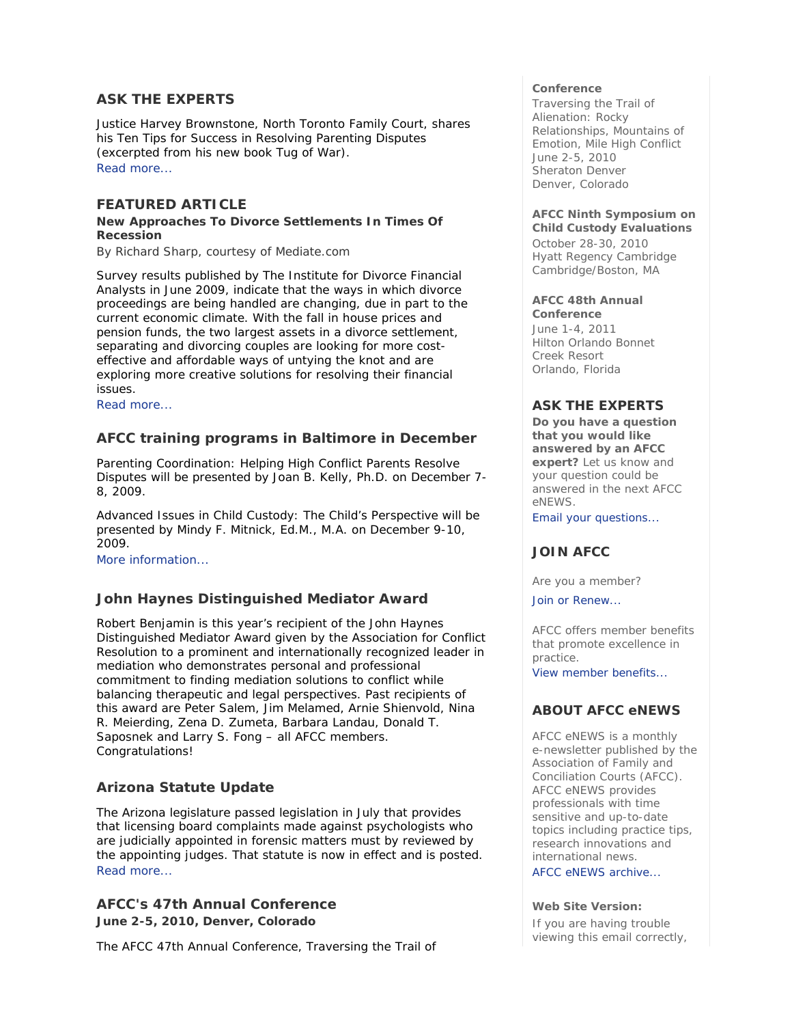# **ASK THE EXPERTS**

Justice Harvey Brownstone, North Toronto Family Court, shares his Ten Tips for Success in Resolving Parenting Disputes (excerpted from his new book *Tug of War*). Read more...

# **FEATURED ARTICLE**

**New Approaches To Divorce Settlements In Times Of Recession** 

*By Richard Sharp, courtesy of Mediate.com* 

Survey results published by The Institute for Divorce Financial Analysts in June 2009, indicate that the ways in which divorce proceedings are being handled are changing, due in part to the current economic climate. With the fall in house prices and pension funds, the two largest assets in a divorce settlement, separating and divorcing couples are looking for more costeffective and affordable ways of untying the knot and are exploring more creative solutions for resolving their financial issues.

Read more...

# **AFCC training programs in Baltimore in December**

*Parenting Coordination: Helping High Conflict Parents Resolve Disputes* will be presented by Joan B. Kelly, Ph.D. on December 7- 8, 2009.

*Advanced Issues in Child Custody: The Child's Perspective* will be presented by Mindy F. Mitnick, Ed.M., M.A. on December 9-10, 2009.

More information...

# **John Haynes Distinguished Mediator Award**

Robert Benjamin is this year's recipient of the John Haynes Distinguished Mediator Award given by the Association for Conflict Resolution to a prominent and internationally recognized leader in mediation who demonstrates personal and professional commitment to finding mediation solutions to conflict while balancing therapeutic and legal perspectives. Past recipients of this award are Peter Salem, Jim Melamed, Arnie Shienvold, Nina R. Meierding, Zena D. Zumeta, Barbara Landau, Donald T. Saposnek and Larry S. Fong – all AFCC members. Congratulations!

## **Arizona Statute Update**

The Arizona legislature passed legislation in July that provides that licensing board complaints made against psychologists who are judicially appointed in forensic matters must by reviewed by the appointing judges. That statute is now in effect and is posted. Read more...

# **AFCC's 47th Annual Conference June 2-5, 2010, Denver, Colorado**

The AFCC 47th Annual Conference, *Traversing the Trail of* 

## **Conference**

*Traversing the Trail of Alienation: Rocky Relationships, Mountains of Emotion, Mile High Conflict* June 2-5, 2010 Sheraton Denver Denver, Colorado

## **AFCC Ninth Symposium on Child Custody Evaluations**

October 28-30, 2010 Hyatt Regency Cambridge Cambridge/Boston, MA

## **AFCC 48th Annual**

**Conference** June 1-4, 2011 Hilton Orlando Bonnet Creek Resort Orlando, Florida

# **ASK THE EXPERTS**

**Do you have a question that you would like answered by an AFCC expert?** Let us know and your question could be answered in the next *AFCC eNEWS*.

Email your questions...

# **JOIN AFCC**

Are you a member?

Join or Renew...

AFCC offers member benefits that promote excellence in practice. View member benefits...

## **ABOUT AFCC eNEWS**

*AFCC eNEWS* is a monthly e-newsletter published by the Association of Family and Conciliation Courts (AFCC). *AFCC eNEWS* provides professionals with time sensitive and up-to-date topics including practice tips, research innovations and international news.

AFCC eNEWS archive...

## **Web Site Version:**

If you are having trouble viewing this email correctly,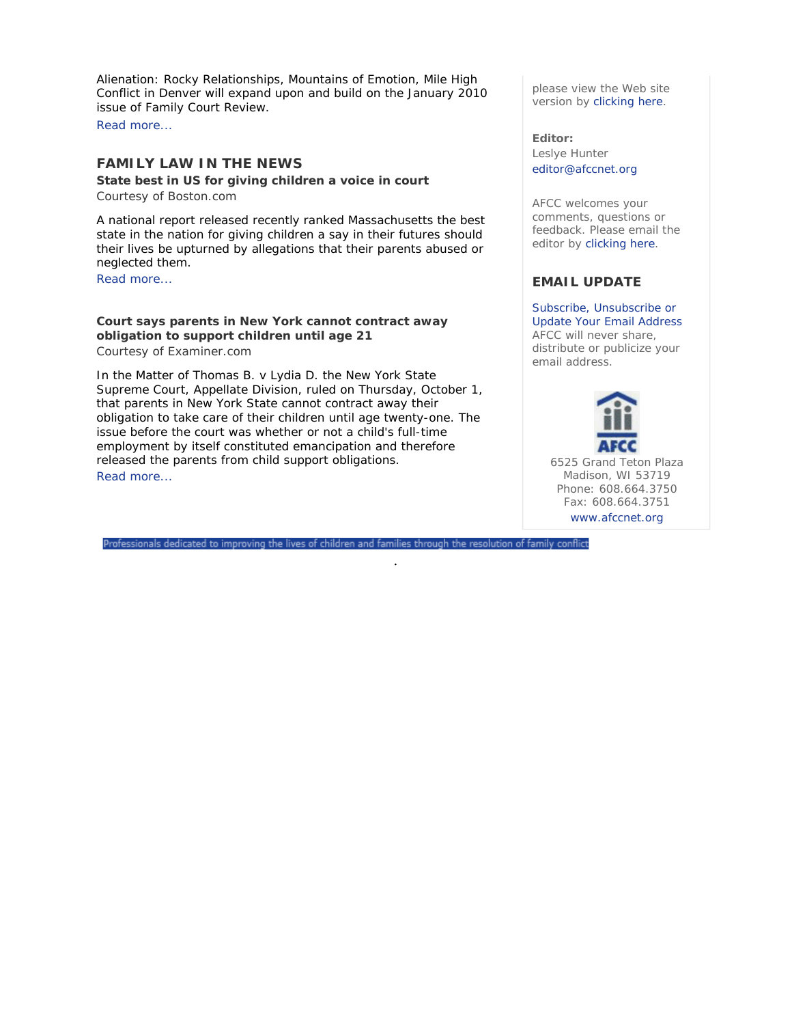*Alienation: Rocky Relationships, Mountains of Emotion, Mile High Conflict* in Denver will expand upon and build on the January 2010 issue of *Family Court Review*.

Read more...

# **FAMILY LAW IN THE NEWS**

**State best in US for giving children a voice in court**  *Courtesy of Boston.com* 

A national report released recently ranked Massachusetts the best state in the nation for giving children a say in their futures should their lives be upturned by allegations that their parents abused or neglected them.

Read more...

**Court says parents in New York cannot contract away obligation to support children until age 21**  *Courtesy of Examiner.com* 

In the Matter of Thomas B. v Lydia D. the New York State Supreme Court, Appellate Division, ruled on Thursday, October 1, that parents in New York State cannot contract away their obligation to take care of their children until age twenty-one. The issue before the court was whether or not a child's full-time employment by itself constituted emancipation and therefore released the parents from child support obligations. Read more...

.

Professionals dedicated to improving the lives of children and families through the resolution of family conflict

please view the Web site version by clicking here.

**Editor:**  Leslye Hunter editor@afccnet.org

AFCC welcomes your comments, questions or feedback. Please email the editor by clicking here.

# **EMAIL UPDATE**

Subscribe, Unsubscribe or Update Your Email Address AFCC will never share, distribute or publicize your email address.



6525 Grand Teton Plaza Madison, WI 53719 Phone: 608.664.3750 Fax: 608.664.3751 www.afccnet.org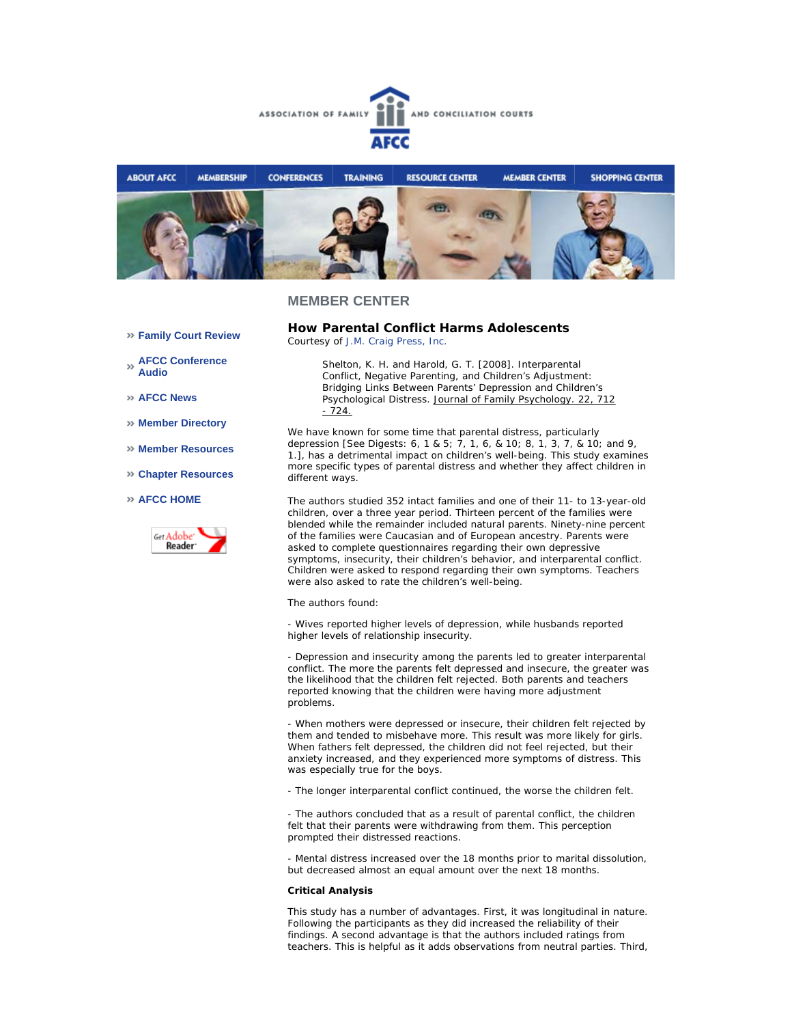



## **MEMBER CENTER**

**Family Court Review** 

**AFCC Conference Audio** 

- **AFCC News**
- **Member Directory**
- **Member Resources**
- **Chapter Resources**

### **AFCC HOME**



**How Parental Conflict Harms Adolescents**  *Courtesy of J.M. Craig Press, Inc.*

> *Shelton, K. H. and Harold, G. T. [2008]. Interparental Conflict, Negative Parenting, and Children's Adjustment: Bridging Links Between Parents' Depression and Children's Psychological Distress. Journal of Family Psychology. 22, 712 - 724.*

We have known for some time that parental distress, particularly depression [See Digests: 6, 1 & 5; 7, 1, 6, & 10; 8, 1, 3, 7, & 10; and 9, 1.], has a detrimental impact on children's well-being. This study examines more specific types of parental distress and whether they affect children in different ways.

The authors studied 352 intact families and one of their 11- to 13-year-old children, over a three year period. Thirteen percent of the families were blended while the remainder included natural parents. Ninety-nine percent of the families were Caucasian and of European ancestry. Parents were asked to complete questionnaires regarding their own depressive symptoms, insecurity, their children's behavior, and interparental conflict. Children were asked to respond regarding their own symptoms. Teachers were also asked to rate the children's well-being.

The authors found:

- Wives reported higher levels of depression, while husbands reported higher levels of relationship insecurity.

- Depression and insecurity among the parents led to greater interparental conflict. The more the parents felt depressed and insecure, the greater was the likelihood that the children felt rejected. Both parents and teachers reported knowing that the children were having more adjustment problems.

- When mothers were depressed or insecure, their children felt rejected by them and tended to misbehave more. This result was more likely for girls. When fathers felt depressed, the children did not feel rejected, but their anxiety increased, and they experienced more symptoms of distress. This was especially true for the boys.

- The longer interparental conflict continued, the worse the children felt.

- The authors concluded that as a result of parental conflict, the children felt that their parents were withdrawing from them. This perception prompted their distressed reactions.

- Mental distress increased over the 18 months prior to marital dissolution, but decreased almost an equal amount over the next 18 months.

### **Critical Analysis**

This study has a number of advantages. First, it was longitudinal in nature. Following the participants as they did increased the reliability of their findings. A second advantage is that the authors included ratings from teachers. This is helpful as it adds observations from neutral parties. Third,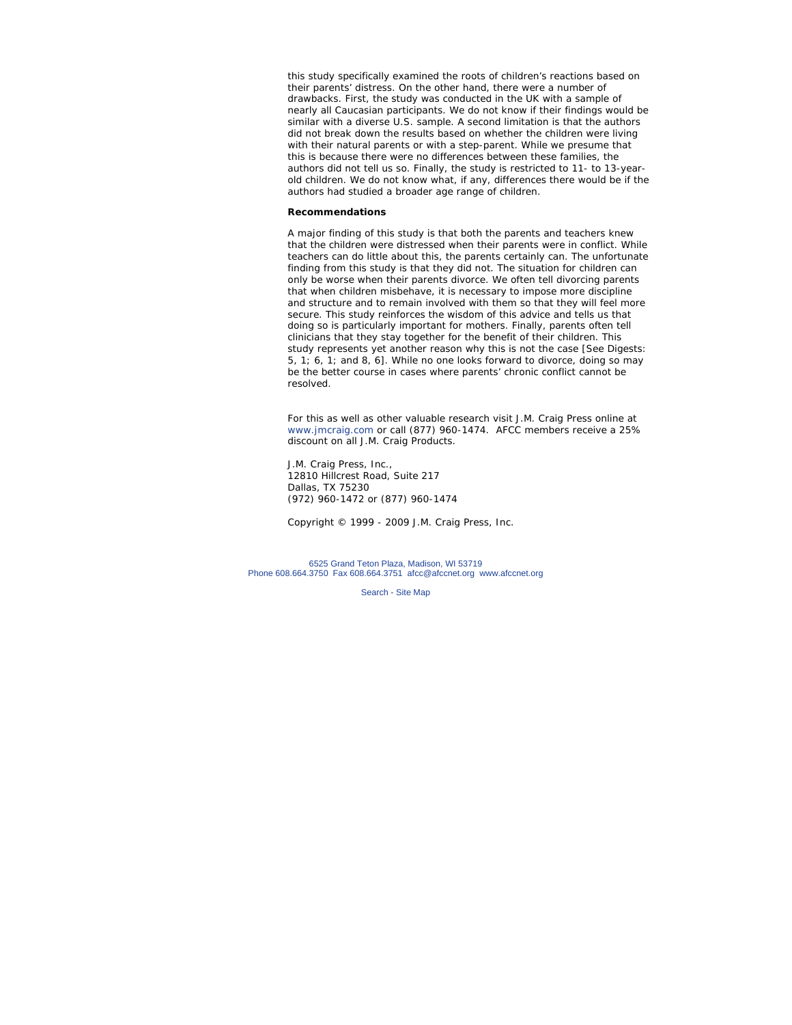this study specifically examined the roots of children's reactions based on their parents' distress. On the other hand, there were a number of drawbacks. First, the study was conducted in the UK with a sample of nearly all Caucasian participants. We do not know if their findings would be similar with a diverse U.S. sample. A second limitation is that the authors did not break down the results based on whether the children were living with their natural parents or with a step-parent. While we presume that this is because there were no differences between these families, the authors did not tell us so. Finally, the study is restricted to 11- to 13-yearold children. We do not know what, if any, differences there would be if the authors had studied a broader age range of children.

### **Recommendations**

A major finding of this study is that both the parents and teachers knew that the children were distressed when their parents were in conflict. While teachers can do little about this, the parents certainly can. The unfortunate finding from this study is that they did not. The situation for children can only be worse when their parents divorce. We often tell divorcing parents that when children misbehave, it is necessary to impose more discipline and structure and to remain involved with them so that they will feel more secure. This study reinforces the wisdom of this advice and tells us that doing so is particularly important for mothers. Finally, parents often tell clinicians that they stay together for the benefit of their children. This study represents yet another reason why this is not the case [See Digests: 5, 1; 6, 1; and 8, 6]. While no one looks forward to divorce, doing so may be the better course in cases where parents' chronic conflict cannot be resolved.

*For this as well as other valuable research visit J.M. Craig Press online at www.jmcraig.com or call (877) 960-1474. AFCC members receive a 25% discount on all J.M. Craig Products.*

J.M. Craig Press, Inc., 12810 Hillcrest Road, Suite 217 Dallas, TX 75230 (972) 960-1472 or (877) 960-1474

*Copyright © 1999 - 2009 J.M. Craig Press, Inc.*

6525 Grand Teton Plaza, Madison, WI 53719 Phone 608.664.3750 Fax 608.664.3751 afcc@afccnet.org www.afccnet.org

Search - Site Map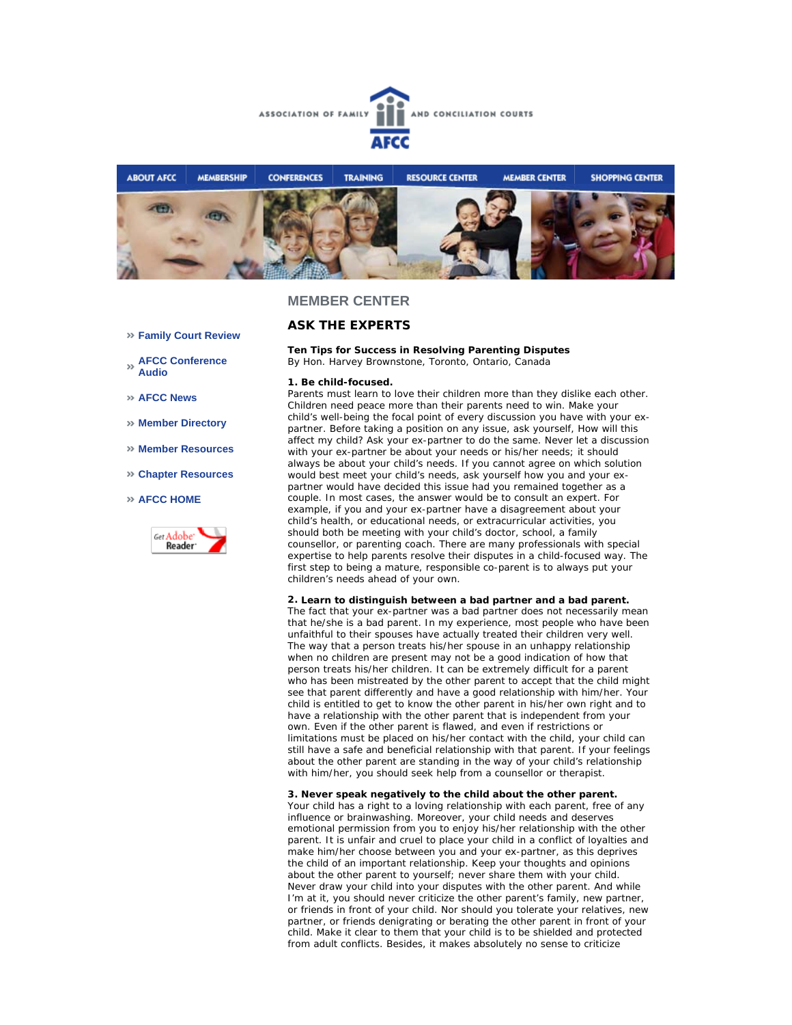



## **MEMBER CENTER**

# **ASK THE EXPERTS**

**Ten Tips for Success in Resolving Parenting Disputes**  *By Hon. Harvey Brownstone, Toronto, Ontario, Canada* 

### **1. Be child-focused.**

Parents must learn to love their children more than they dislike each other. Children need peace more than their parents need to win. Make your child's well-being the focal point of every discussion you have with your expartner. Before taking a position on any issue, ask yourself, How will this affect my child? Ask your ex-partner to do the same. Never let a discussion with your ex-partner be about your needs or his/her needs; it should always be about your child's needs. If you cannot agree on which solution would best meet your child's needs, ask yourself how you and your expartner would have decided this issue had you remained together as a couple. In most cases, the answer would be to consult an expert. For example, if you and your ex-partner have a disagreement about your child's health, or educational needs, or extracurricular activities, you should both be meeting with your child's doctor, school, a family counsellor, or parenting coach. There are many professionals with special expertise to help parents resolve their disputes in a child-focused way. The first step to being a mature, responsible co-parent is to always put your children's needs ahead of your own.

**2. Learn to distinguish between a bad partner and a bad parent.** The fact that your ex-partner was a bad partner does not necessarily mean that he/she is a bad parent. In my experience, most people who have been unfaithful to their spouses have actually treated their children very well. The way that a person treats his/her spouse in an unhappy relationship when no children are present may not be a good indication of how that person treats his/her children. It can be extremely difficult for a parent who has been mistreated by the other parent to accept that the child might see that parent differently and have a good relationship with him/her. Your child is entitled to get to know the other parent in his/her own right and to have a relationship with the other parent that is independent from your own. Even if the other parent is flawed, and even if restrictions or limitations must be placed on his/her contact with the child, your child can still have a safe and beneficial relationship with that parent. If your feelings about the other parent are standing in the way of your child's relationship with him/her, you should seek help from a counsellor or therapist.

### **3. Never speak negatively to the child about the other parent.**

Your child has a right to a loving relationship with each parent, free of any influence or brainwashing. Moreover, your child needs and deserves emotional permission from you to enjoy his/her relationship with the other parent. It is unfair and cruel to place your child in a conflict of loyalties and make him/her choose between you and your ex-partner, as this deprives the child of an important relationship. Keep your thoughts and opinions about the other parent to yourself; never share them with your child. Never draw your child into your disputes with the other parent. And while I'm at it, you should never criticize the other parent's family, new partner, or friends in front of your child. Nor should you tolerate your relatives, new partner, or friends denigrating or berating the other parent in front of your child. Make it clear to them that your child is to be shielded and protected from adult conflicts. Besides, it makes absolutely no sense to criticize

- **Family Court Review**
- **AFCC Conference Audio**
- **AFCC News**
- **Member Directory**
- **Member Resources**
- **Chapter Resources**
- **AFCC HOME**

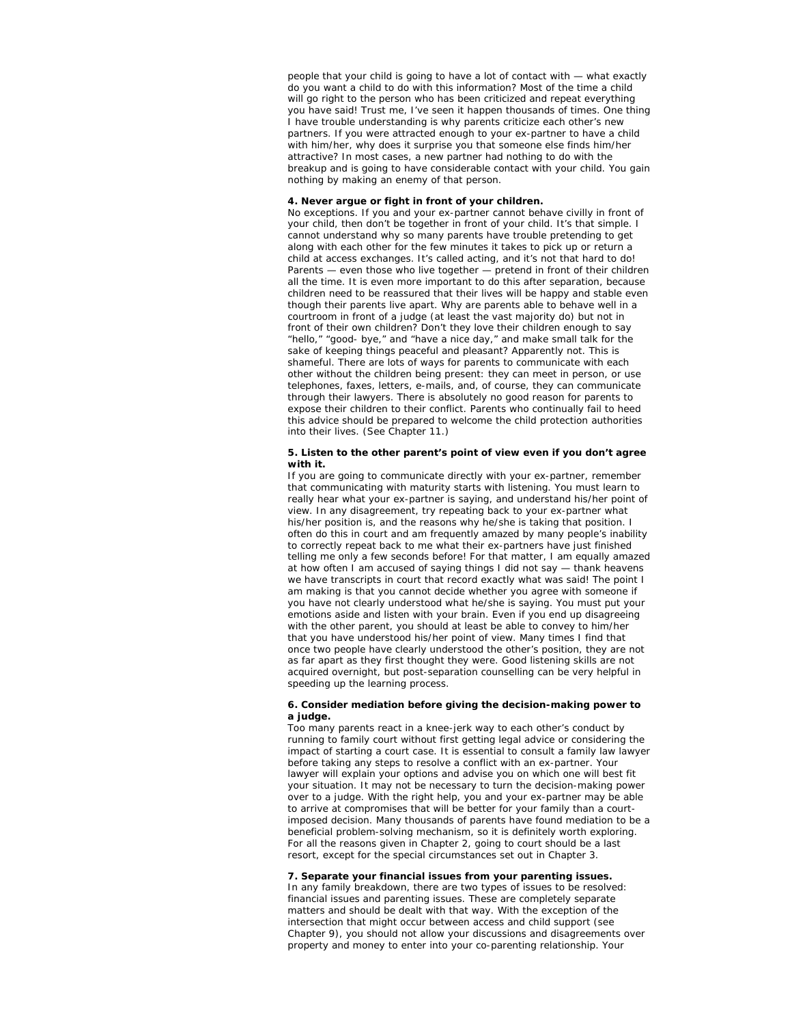people that your child is going to have a lot of contact with — what exactly do you want a child to do with this information? Most of the time a child will go right to the person who has been criticized and repeat everything you have said! Trust me, I've seen it happen thousands of times. One thing I have trouble understanding is why parents criticize each other's new partners. If you were attracted enough to your ex-partner to have a child with him/her, why does it surprise you that someone else finds him/her attractive? In most cases, a new partner had nothing to do with the breakup and is going to have considerable contact with your child. You gain nothing by making an enemy of that person.

### **4. Never argue or fight in front of your children.**

No exceptions. If you and your ex-partner cannot behave civilly in front of your child, then don't be together in front of your child. It's that simple. I cannot understand why so many parents have trouble pretending to get along with each other for the few minutes it takes to pick up or return a child at access exchanges. It's called acting, and it's not that hard to do! Parents — even those who live together — pretend in front of their children all the time. It is even more important to do this after separation, because children need to be reassured that their lives will be happy and stable even though their parents live apart. Why are parents able to behave well in a courtroom in front of a judge (at least the vast majority do) but not in front of their own children? Don't they love their children enough to say "hello," "good- bye," and "have a nice day," and make small talk for the sake of keeping things peaceful and pleasant? Apparently not. This is shameful. There are lots of ways for parents to communicate with each other without the children being present: they can meet in person, or use telephones, faxes, letters, e-mails, and, of course, they can communicate through their lawyers. There is absolutely no good reason for parents to expose their children to their conflict. Parents who continually fail to heed this advice should be prepared to welcome the child protection authorities into their lives. (See Chapter 11.)

### **5. Listen to the other parent's point of view even if you don't agree with it.**

If you are going to communicate directly with your ex-partner, remember that communicating with maturity starts with listening. You must learn to really hear what your ex-partner is saying, and understand his/her point of view. In any disagreement, try repeating back to your ex-partner what his/her position is, and the reasons why he/she is taking that position. I often do this in court and am frequently amazed by many people's inability to correctly repeat back to me what their ex-partners have just finished telling me only a few seconds before! For that matter, I am equally amazed at how often I am accused of saying things I did not say — thank heavens we have transcripts in court that record exactly what was said! The point I am making is that you cannot decide whether you agree with someone if you have not clearly understood what he/she is saying. You must put your emotions aside and listen with your brain. Even if you end up disagreeing with the other parent, you should at least be able to convey to him/her that you have understood his/her point of view. Many times I find that once two people have clearly understood the other's position, they are not as far apart as they first thought they were. Good listening skills are not acquired overnight, but post-separation counselling can be very helpful in speeding up the learning process.

## **6. Consider mediation before giving the decision-making power to a judge.**

Too many parents react in a knee-jerk way to each other's conduct by running to family court without first getting legal advice or considering the impact of starting a court case. It is essential to consult a family law lawyer before taking any steps to resolve a conflict with an ex-partner. Your lawyer will explain your options and advise you on which one will best fit your situation. It may not be necessary to turn the decision-making power over to a judge. With the right help, you and your ex-partner may be able to arrive at compromises that will be better for your family than a courtimposed decision. Many thousands of parents have found mediation to be a beneficial problem-solving mechanism, so it is definitely worth exploring. For all the reasons given in Chapter 2, going to court should be a last resort, except for the special circumstances set out in Chapter 3.

### **7. Separate your financial issues from your parenting issues.**

In any family breakdown, there are two types of issues to be resolved: financial issues and parenting issues. These are completely separate matters and should be dealt with that way. With the exception of the intersection that might occur between access and child support (see Chapter 9), you should not allow your discussions and disagreements over property and money to enter into your co-parenting relationship. Your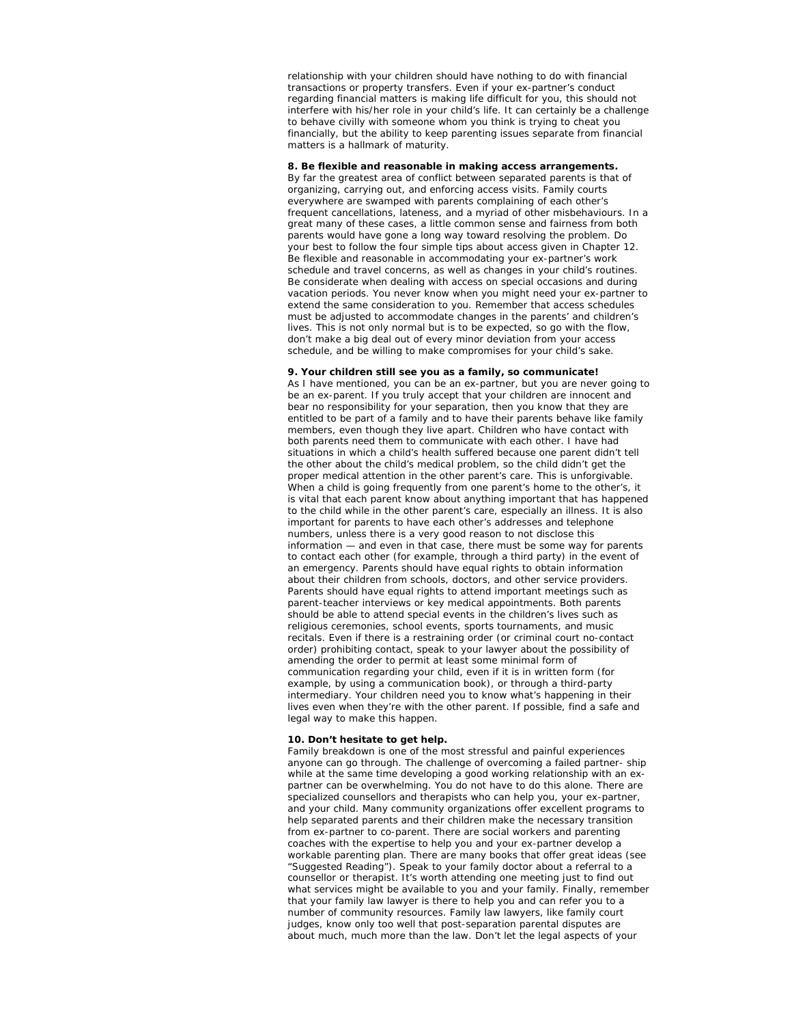relationship with your children should have nothing to do with financial transactions or property transfers. Even if your ex-partner's conduct regarding financial matters is making life difficult for you, this should not interfere with his/her role in your child's life. It can certainly be a challenge to behave civilly with someone whom you think is trying to cheat you financially, but the ability to keep parenting issues separate from financial matters is a hallmark of maturity.

### **8. Be flexible and reasonable in making access arrangements.**

By far the greatest area of conflict between separated parents is that of organizing, carrying out, and enforcing access visits. Family courts everywhere are swamped with parents complaining of each other's frequent cancellations, lateness, and a myriad of other misbehaviours. In a great many of these cases, a little common sense and fairness from both parents would have gone a long way toward resolving the problem. Do your best to follow the four simple tips about access given in Chapter 12. Be flexible and reasonable in accommodating your ex-partner's work schedule and travel concerns, as well as changes in your child's routines. Be considerate when dealing with access on special occasions and during vacation periods. You never know when you might need your ex-partner to extend the same consideration to you. Remember that access schedules must be adjusted to accommodate changes in the parents' and children's lives. This is not only normal but is to be expected, so go with the flow, don't make a big deal out of every minor deviation from your access schedule, and be willing to make compromises for your child's sake.

### **9. Your children still see you as a family, so communicate!**

As I have mentioned, you can be an ex-partner, but you are never going to be an ex-parent. If you truly accept that your children are innocent and bear no responsibility for your separation, then you know that they are entitled to be part of a family and to have their parents behave like family members, even though they live apart. Children who have contact with both parents need them to communicate with each other. I have had situations in which a child's health suffered because one parent didn't tell the other about the child's medical problem, so the child didn't get the proper medical attention in the other parent's care. This is unforgivable. When a child is going frequently from one parent's home to the other's, it is vital that each parent know about anything important that has happened to the child while in the other parent's care, especially an illness. It is also important for parents to have each other's addresses and telephone numbers, unless there is a very good reason to not disclose this information — and even in that case, there must be some way for parents to contact each other (for example, through a third party) in the event of an emergency. Parents should have equal rights to obtain information about their children from schools, doctors, and other service providers. Parents should have equal rights to attend important meetings such as parent-teacher interviews or key medical appointments. Both parents should be able to attend special events in the children's lives such as religious ceremonies, school events, sports tournaments, and music recitals. Even if there is a restraining order (or criminal court no-contact order) prohibiting contact, speak to your lawyer about the possibility of amending the order to permit at least some minimal form of communication regarding your child, even if it is in written form (for example, by using a communication book), or through a third-party intermediary. Your children need you to know what's happening in their lives even when they're with the other parent. If possible, find a safe and legal way to make this happen.

## **10. Don't hesitate to get help.**

Family breakdown is one of the most stressful and painful experiences anyone can go through. The challenge of overcoming a failed partner- ship while at the same time developing a good working relationship with an expartner can be overwhelming. You do not have to do this alone. There are specialized counsellors and therapists who can help you, your ex-partner, and your child. Many community organizations offer excellent programs to help separated parents and their children make the necessary transition from ex-partner to co-parent. There are social workers and parenting coaches with the expertise to help you and your ex-partner develop a workable parenting plan. There are many books that offer great ideas (see "Suggested Reading"). Speak to your family doctor about a referral to a counsellor or therapist. It's worth attending one meeting just to find out what services might be available to you and your family. Finally, remember that your family law lawyer is there to help you and can refer you to a number of community resources. Family law lawyers, like family court judges, know only too well that post-separation parental disputes are about much, much more than the law. Don't let the legal aspects of your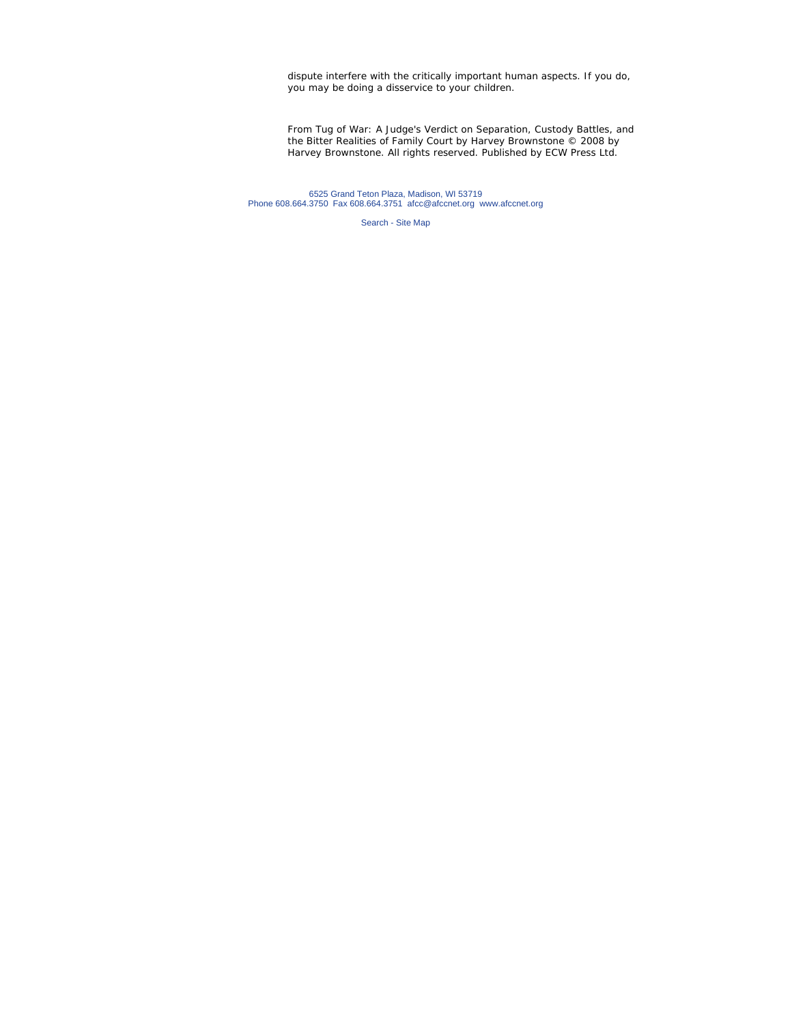dispute interfere with the critically important human aspects. If you do, you may be doing a disservice to your children.

*From* Tug of War: A Judge's Verdict on Separation, Custody Battles, and the Bitter Realities of Family Court *by Harvey Brownstone © 2008 by Harvey Brownstone. All rights reserved. Published by ECW Press Ltd.*

6525 Grand Teton Plaza, Madison, WI 53719 Phone 608.664.3750 Fax 608.664.3751 afcc@afccnet.org www.afccnet.org

Search - Site Map